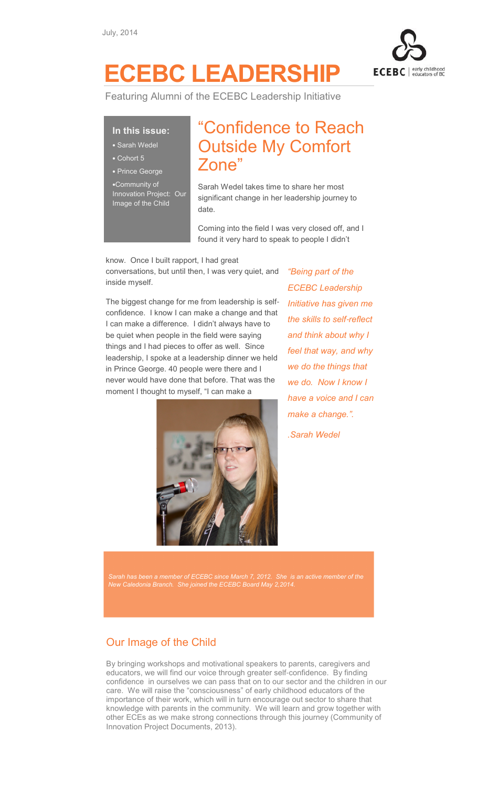

# ECEBC LEADERSHIP

Featuring Alumni of the ECEBC Leadership Initiative

#### In this issue:

- Sarah Wedel
- Cohort 5
- Prince George

•Community of Innovation Project: Our Image of the Child

## "Confidence to Reach Outside My Comfort Zone"

Sarah Wedel takes time to share her most significant change in her leadership journey to date.

Coming into the field I was very closed off, and I found it very hard to speak to people I didn't

#### know. Once I built rapport, I had great

conversations, but until then, I was very quiet, and inside myself.

The biggest change for me from leadership is selfconfidence. I know I can make a change and that I can make a difference. I didn't always have to be quiet when people in the field were saying things and I had pieces to offer as well. Since leadership, I spoke at a leadership dinner we held in Prince George. 40 people were there and I never would have done that before. That was the moment I thought to myself, "I can make a



"Being part of the ECEBC Leadership Initiative has given me the skills to self-reflect and think about why I feel that way, and why we do the things that we do. Now I know I have a voice and I can make a change.". .Sarah Wedel

Sarah has been a member of ECEBC since March 7, 2012. She is an active member of the New Caledonia Branch. She joined the ECEBC Board May 2,2014.

### Our Image of the Child

By bringing workshops and motivational speakers to parents, caregivers and educators, we will find our voice through greater self-confidence. By finding confidence in ourselves we can pass that on to our sector and the children in our care. We will raise the "consciousness" of early childhood educators of the importance of their work, which will in turn encourage out sector to share that knowledge with parents in the community. We will learn and grow together with other ECEs as we make strong connections through this journey (Community of Innovation Project Documents, 2013).